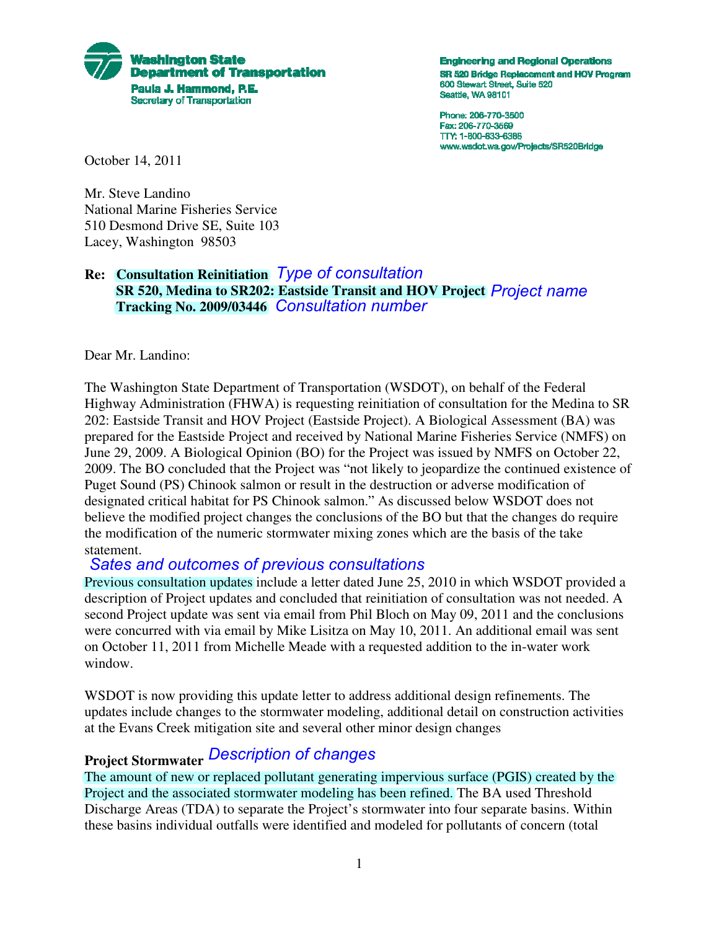

**Engineering and Regional Operations** SR 520 Bridge Replacement and HOV Program 600 Stewart Street, Suite 520 Seattle, WA 98101

Phone: 206-770-3500 Fax: 206-770-3569 TTY: 1-800-833-6388 www.wsdot.wa.gov/Projects/SR520Bridge

October 14, 2011

Mr. Steve Landino National Marine Fisheries Service 510 Desmond Drive SE, Suite 103 Lacey, Washington 98503

## **Re: Consultation Reinitiation** *Type of consultation* **SR 520, Medina to SR202: Eastside Transit and HOV Project** *Project name* **Tracking No. 2009/03446** *Consultation number*

Dear Mr. Landino:

The Washington State Department of Transportation (WSDOT), on behalf of the Federal Highway Administration (FHWA) is requesting reinitiation of consultation for the Medina to SR 202: Eastside Transit and HOV Project (Eastside Project). A Biological Assessment (BA) was prepared for the Eastside Project and received by National Marine Fisheries Service (NMFS) on June 29, 2009. A Biological Opinion (BO) for the Project was issued by NMFS on October 22, 2009. The BO concluded that the Project was "not likely to jeopardize the continued existence of Puget Sound (PS) Chinook salmon or result in the destruction or adverse modification of designated critical habitat for PS Chinook salmon." As discussed below WSDOT does not believe the modified project changes the conclusions of the BO but that the changes do require the modification of the numeric stormwater mixing zones which are the basis of the take statement.

#### *Sates and outcomes of previous consultations*

Previous consultation updates include a letter dated June 25, 2010 in which WSDOT provided a description of Project updates and concluded that reinitiation of consultation was not needed. A second Project update was sent via email from Phil Bloch on May 09, 2011 and the conclusions were concurred with via email by Mike Lisitza on May 10, 2011. An additional email was sent on October 11, 2011 from Michelle Meade with a requested addition to the in-water work window.

WSDOT is now providing this update letter to address additional design refinements. The updates include changes to the stormwater modeling, additional detail on construction activities at the Evans Creek mitigation site and several other minor design changes

# *Description of changes* **Project Stormwater**

The amount of new or replaced pollutant generating impervious surface (PGIS) created by the Project and the associated stormwater modeling has been refined. The BA used Threshold Discharge Areas (TDA) to separate the Project's stormwater into four separate basins. Within these basins individual outfalls were identified and modeled for pollutants of concern (total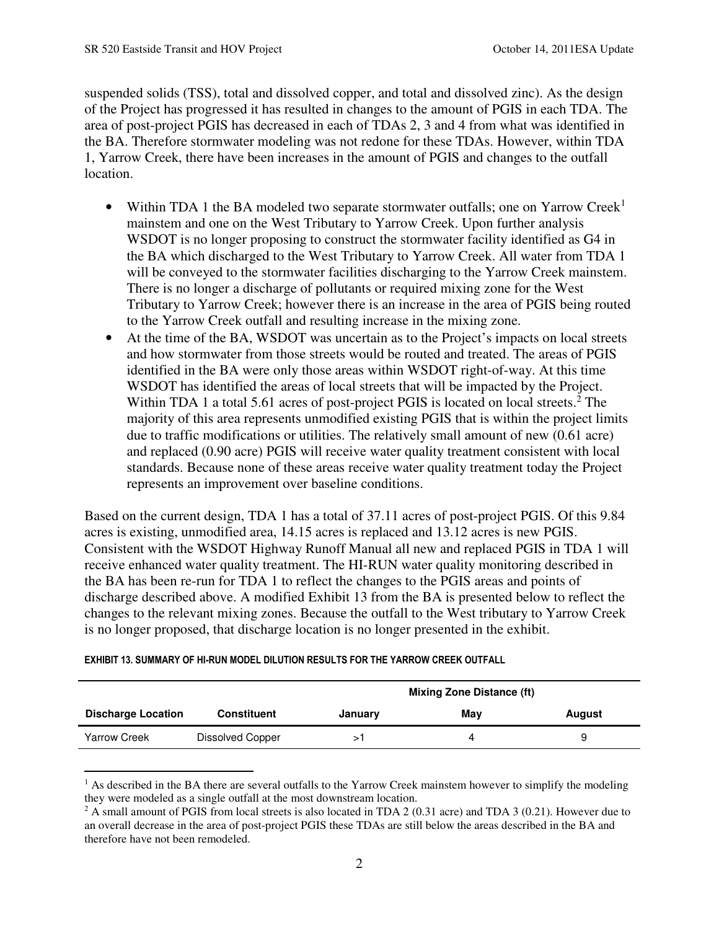suspended solids (TSS), total and dissolved copper, and total and dissolved zinc). As the design of the Project has progressed it has resulted in changes to the amount of PGIS in each TDA. The area of post-project PGIS has decreased in each of TDAs 2, 3 and 4 from what was identified in the BA. Therefore stormwater modeling was not redone for these TDAs. However, within TDA 1, Yarrow Creek, there have been increases in the amount of PGIS and changes to the outfall location.

- Within TDA 1 the BA modeled two separate stormwater outfalls; one on Yarrow Creek<sup>1</sup> mainstem and one on the West Tributary to Yarrow Creek. Upon further analysis WSDOT is no longer proposing to construct the stormwater facility identified as G4 in the BA which discharged to the West Tributary to Yarrow Creek. All water from TDA 1 will be conveyed to the stormwater facilities discharging to the Yarrow Creek mainstem. There is no longer a discharge of pollutants or required mixing zone for the West Tributary to Yarrow Creek; however there is an increase in the area of PGIS being routed to the Yarrow Creek outfall and resulting increase in the mixing zone.
- At the time of the BA, WSDOT was uncertain as to the Project's impacts on local streets and how stormwater from those streets would be routed and treated. The areas of PGIS identified in the BA were only those areas within WSDOT right-of-way. At this time WSDOT has identified the areas of local streets that will be impacted by the Project. Within TDA 1 a total 5.61 acres of post-project PGIS is located on local streets.<sup>2</sup> The majority of this area represents unmodified existing PGIS that is within the project limits due to traffic modifications or utilities. The relatively small amount of new (0.61 acre) and replaced (0.90 acre) PGIS will receive water quality treatment consistent with local standards. Because none of these areas receive water quality treatment today the Project represents an improvement over baseline conditions.

 is no longer proposed, that discharge location is no longer presented in the exhibit. Based on the current design, TDA 1 has a total of 37.11 acres of post-project PGIS. Of this 9.84 acres is existing, unmodified area, 14.15 acres is replaced and 13.12 acres is new PGIS. Consistent with the WSDOT Highway Runoff Manual all new and replaced PGIS in TDA 1 will receive enhanced water quality treatment. The HI-RUN water quality monitoring described in the BA has been re-run for TDA 1 to reflect the changes to the PGIS areas and points of discharge described above. A modified Exhibit 13 from the BA is presented below to reflect the changes to the relevant mixing zones. Because the outfall to the West tributary to Yarrow Creek

|                           |                         | <b>Mixing Zone Distance (ft)</b> |     |        |
|---------------------------|-------------------------|----------------------------------|-----|--------|
| <b>Discharge Location</b> | <b>Constituent</b>      | January                          | May | August |
| <b>Yarrow Creek</b>       | <b>Dissolved Copper</b> |                                  | 4   |        |

|  |  | EXHIBIT 13. SUMMARY OF HI-RUN MODEL DILUTION RESULTS FOR THE YARROW CREEK OUTFALL |
|--|--|-----------------------------------------------------------------------------------|
|  |  |                                                                                   |

 $<sup>1</sup>$  As described in the BA there are several outfalls to the Yarrow Creek mainstem however to simplify the modeling</sup> they were modeled as a single outfall at the most downstream location.

 $2$  A small amount of PGIS from local streets is also located in TDA 2 (0.31 acre) and TDA 3 (0.21). However due to an overall decrease in the area of post-project PGIS these TDAs are still below the areas described in the BA and therefore have not been remodeled.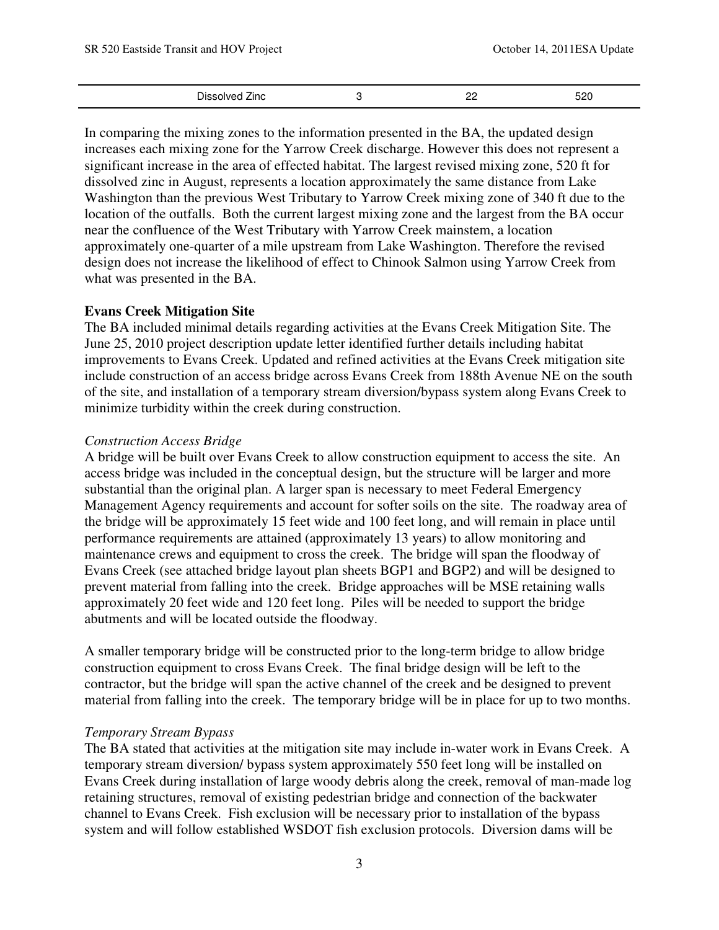| Dissolved Zinc | nr<br>-- | 520 |
|----------------|----------|-----|
|                |          |     |

 In comparing the mixing zones to the information presented in the BA, the updated design dissolved zinc in August, represents a location approximately the same distance from Lake increases each mixing zone for the Yarrow Creek discharge. However this does not represent a significant increase in the area of effected habitat. The largest revised mixing zone, 520 ft for Washington than the previous West Tributary to Yarrow Creek mixing zone of 340 ft due to the location of the outfalls. Both the current largest mixing zone and the largest from the BA occur near the confluence of the West Tributary with Yarrow Creek mainstem, a location approximately one-quarter of a mile upstream from Lake Washington. Therefore the revised design does not increase the likelihood of effect to Chinook Salmon using Yarrow Creek from what was presented in the BA.

#### **Evans Creek Mitigation Site**

The BA included minimal details regarding activities at the Evans Creek Mitigation Site. The June 25, 2010 project description update letter identified further details including habitat improvements to Evans Creek. Updated and refined activities at the Evans Creek mitigation site include construction of an access bridge across Evans Creek from 188th Avenue NE on the south of the site, and installation of a temporary stream diversion/bypass system along Evans Creek to minimize turbidity within the creek during construction.

#### *Construction Access Bridge*

A bridge will be built over Evans Creek to allow construction equipment to access the site. An access bridge was included in the conceptual design, but the structure will be larger and more substantial than the original plan. A larger span is necessary to meet Federal Emergency Management Agency requirements and account for softer soils on the site. The roadway area of the bridge will be approximately 15 feet wide and 100 feet long, and will remain in place until performance requirements are attained (approximately 13 years) to allow monitoring and maintenance crews and equipment to cross the creek. The bridge will span the floodway of Evans Creek (see attached bridge layout plan sheets BGP1 and BGP2) and will be designed to prevent material from falling into the creek. Bridge approaches will be MSE retaining walls approximately 20 feet wide and 120 feet long. Piles will be needed to support the bridge abutments and will be located outside the floodway.

 material from falling into the creek. The temporary bridge will be in place for up to two months. A smaller temporary bridge will be constructed prior to the long-term bridge to allow bridge construction equipment to cross Evans Creek. The final bridge design will be left to the contractor, but the bridge will span the active channel of the creek and be designed to prevent

#### *Temporary Stream Bypass*

The BA stated that activities at the mitigation site may include in-water work in Evans Creek. A temporary stream diversion/ bypass system approximately 550 feet long will be installed on Evans Creek during installation of large woody debris along the creek, removal of man-made log retaining structures, removal of existing pedestrian bridge and connection of the backwater channel to Evans Creek. Fish exclusion will be necessary prior to installation of the bypass system and will follow established WSDOT fish exclusion protocols. Diversion dams will be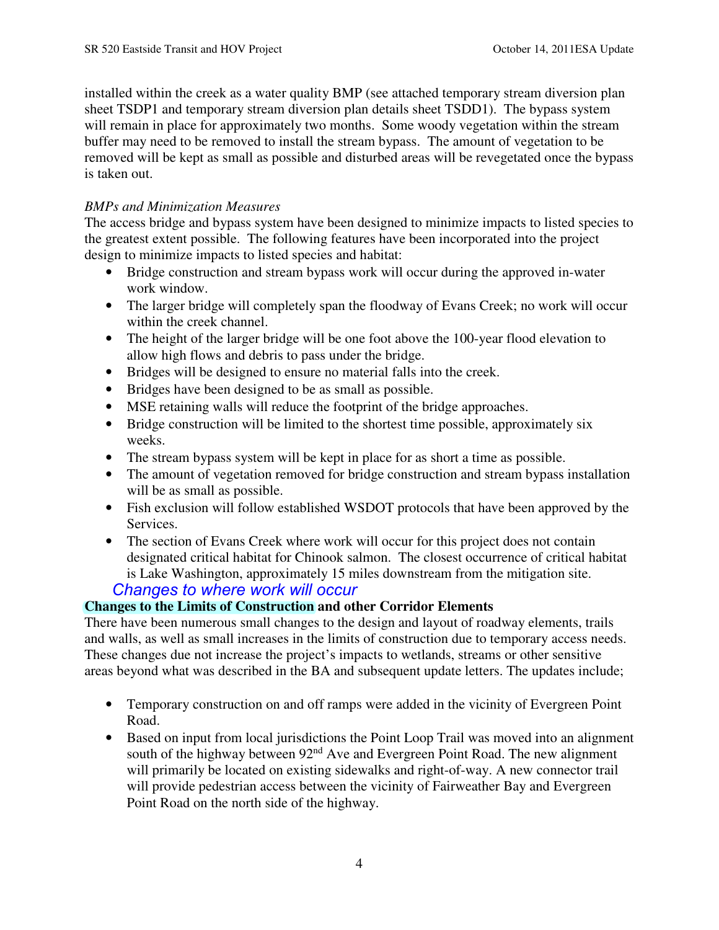installed within the creek as a water quality BMP (see attached temporary stream diversion plan sheet TSDP1 and temporary stream diversion plan details sheet TSDD1). The bypass system will remain in place for approximately two months. Some woody vegetation within the stream buffer may need to be removed to install the stream bypass. The amount of vegetation to be removed will be kept as small as possible and disturbed areas will be revegetated once the bypass is taken out.

## *BMPs and Minimization Measures*

The access bridge and bypass system have been designed to minimize impacts to listed species to the greatest extent possible. The following features have been incorporated into the project design to minimize impacts to listed species and habitat:

- Bridge construction and stream bypass work will occur during the approved in-water work window.
- The larger bridge will completely span the floodway of Evans Creek; no work will occur within the creek channel.
- The height of the larger bridge will be one foot above the 100-year flood elevation to allow high flows and debris to pass under the bridge.
- Bridges will be designed to ensure no material falls into the creek.
- Bridges have been designed to be as small as possible.
- MSE retaining walls will reduce the footprint of the bridge approaches.
- Bridge construction will be limited to the shortest time possible, approximately six weeks.
- The stream bypass system will be kept in place for as short a time as possible.
- The amount of vegetation removed for bridge construction and stream bypass installation will be as small as possible.
- Fish exclusion will follow established WSDOT protocols that have been approved by the Services.
- The section of Evans Creek where work will occur for this project does not contain designated critical habitat for Chinook salmon. The closest occurrence of critical habitat is Lake Washington, approximately 15 miles downstream from the mitigation site.

# *Changes to where work will occur*

## **Changes to the Limits of Construction and other Corridor Elements**

There have been numerous small changes to the design and layout of roadway elements, trails and walls, as well as small increases in the limits of construction due to temporary access needs. These changes due not increase the project's impacts to wetlands, streams or other sensitive areas beyond what was described in the BA and subsequent update letters. The updates include;

- Temporary construction on and off ramps were added in the vicinity of Evergreen Point Road.
- will provide pedestrian access between the vicinity of Fairweather Bay and Evergreen • Based on input from local jurisdictions the Point Loop Trail was moved into an alignment south of the highway between 92<sup>nd</sup> Ave and Evergreen Point Road. The new alignment will primarily be located on existing sidewalks and right-of-way. A new connector trail Point Road on the north side of the highway.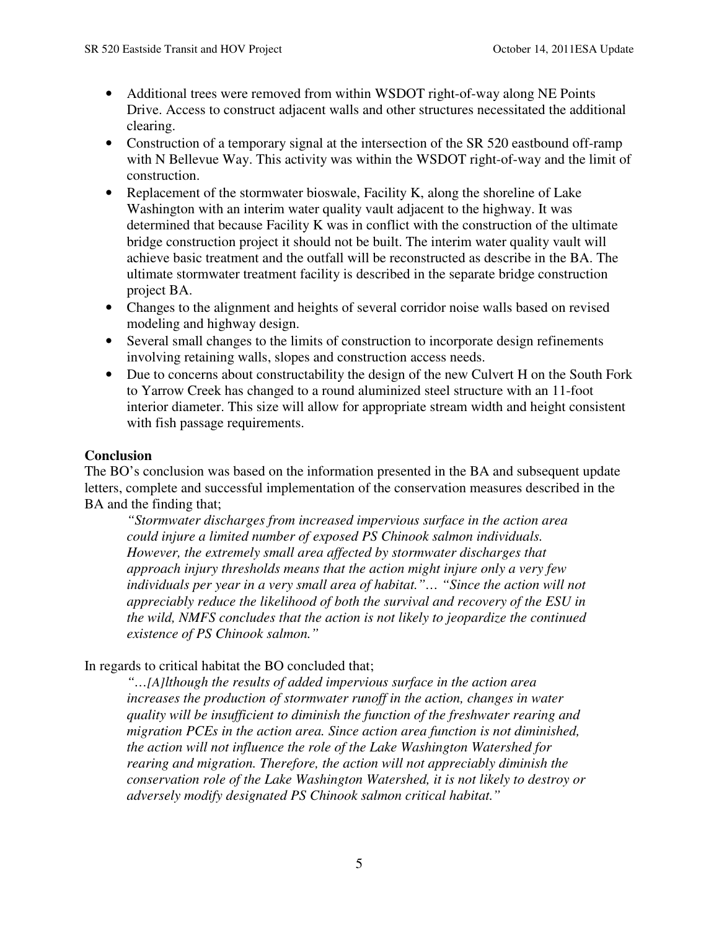- Additional trees were removed from within WSDOT right-of-way along NE Points Drive. Access to construct adjacent walls and other structures necessitated the additional clearing.
- Construction of a temporary signal at the intersection of the SR 520 eastbound off-ramp with N Bellevue Way. This activity was within the WSDOT right-of-way and the limit of construction.
- • Replacement of the stormwater bioswale, Facility K, along the shoreline of Lake Washington with an interim water quality vault adjacent to the highway. It was determined that because Facility K was in conflict with the construction of the ultimate bridge construction project it should not be built. The interim water quality vault will achieve basic treatment and the outfall will be reconstructed as describe in the BA. The ultimate stormwater treatment facility is described in the separate bridge construction project BA.
- Changes to the alignment and heights of several corridor noise walls based on revised modeling and highway design.
- Several small changes to the limits of construction to incorporate design refinements involving retaining walls, slopes and construction access needs.
- Due to concerns about constructability the design of the new Culvert H on the South Fork to Yarrow Creek has changed to a round aluminized steel structure with an 11-foot interior diameter. This size will allow for appropriate stream width and height consistent with fish passage requirements.

#### **Conclusion**

The BO's conclusion was based on the information presented in the BA and subsequent update letters, complete and successful implementation of the conservation measures described in the BA and the finding that;

 *existence of PS Chinook salmon." "Stormwater discharges from increased impervious surface in the action area could injure a limited number of exposed PS Chinook salmon individuals. However, the extremely small area affected by stormwater discharges that approach injury thresholds means that the action might injure only a very few*  individuals per year in a very small area of habitat."... "Since the action will not *appreciably reduce the likelihood of both the survival and recovery of the ESU in the wild, NMFS concludes that the action is not likely to jeopardize the continued* 

#### In regards to critical habitat the BO concluded that;

 *conservation role of the Lake Washington Watershed, it is not likely to destroy or "…[A]lthough the results of added impervious surface in the action area increases the production of stormwater runoff in the action, changes in water quality will be insufficient to diminish the function of the freshwater rearing and migration PCEs in the action area. Since action area function is not diminished, the action will not influence the role of the Lake Washington Watershed for rearing and migration. Therefore, the action will not appreciably diminish the adversely modify designated PS Chinook salmon critical habitat."*